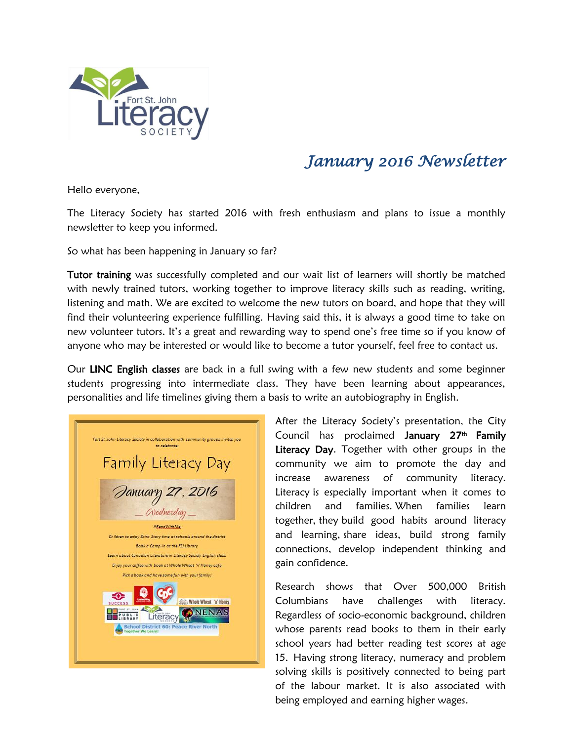

## *January 2016 Newsletter*

Hello everyone,

The Literacy Society has started 2016 with fresh enthusiasm and plans to issue a monthly newsletter to keep you informed.

So what has been happening in January so far?

Tutor training was successfully completed and our wait list of learners will shortly be matched with newly trained tutors, working together to improve literacy skills such as reading, writing, listening and math. We are excited to welcome the new tutors on board, and hope that they will find their volunteering experience fulfilling. Having said this, it is always a good time to take on new volunteer tutors. It's a great and rewarding way to spend one's free time so if you know of anyone who may be interested or would like to become a tutor yourself, feel free to contact us.

Our LINC English classes are back in a full swing with a few new students and some beginner students progressing into intermediate class. They have been learning about appearances, personalities and life timelines giving them a basis to write an autobiography in English.

Fort St. John Literacy Society in collaboration with community groups invites you Family Literacy Day January 27, 2016 Wednesday #BeadWithMe Children to enjoy Extra Story time at schools around the district Book a Camp-in at the FSJ Library Learn about Canadian Literature in Literacy Society English class Enjoy your caffee with book at Whole Wheat 'n' Haney cafe Pick a book and have some fun with your family! Whole Wheat 'n' Honey **MENAS** Literacy CONENAS ol District 60: I

After the Literacy Society's presentation, the City Council has proclaimed January 27<sup>th</sup> Family Literacy Day. Together with other groups in the community we aim to promote the day and increase awareness of community literacy. Literacy is especially important when it comes to children and families. When families learn together, they build good habits around literacy and learning, share ideas, build strong family connections, develop independent thinking and gain confidence.

Research shows that Over 500,000 British Columbians have challenges with literacy. Regardless of socio-economic background, children whose parents read books to them in their early school years had better reading test scores at age 15. Having strong literacy, numeracy and problem solving skills is positively connected to being part of the labour market. It is also associated with being employed and earning higher wages.